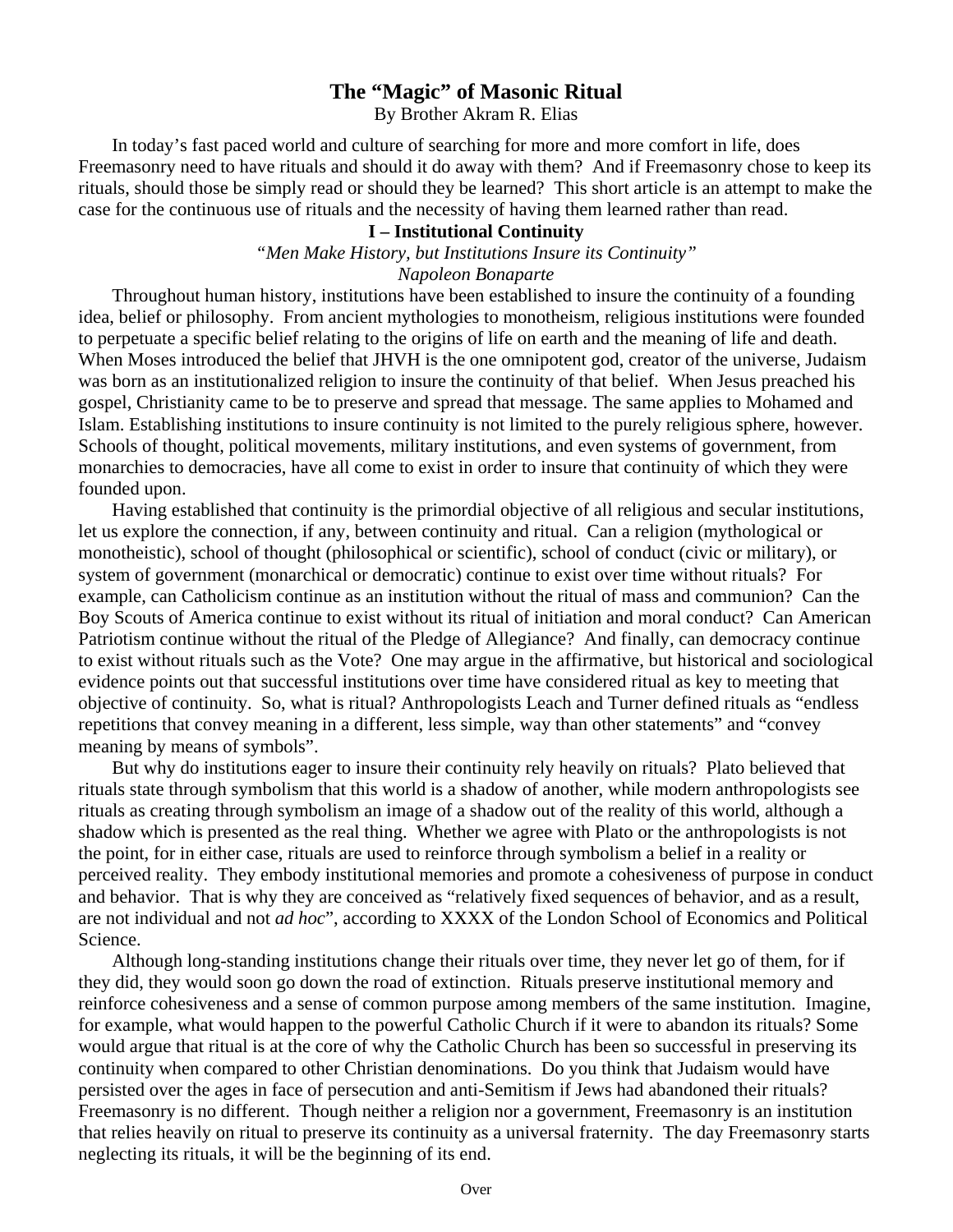# **The "Magic" of Masonic Ritual**

By Brother Akram R. Elias

In today's fast paced world and culture of searching for more and more comfort in life, does Freemasonry need to have rituals and should it do away with them? And if Freemasonry chose to keep its rituals, should those be simply read or should they be learned? This short article is an attempt to make the case for the continuous use of rituals and the necessity of having them learned rather than read.

# **I – Institutional Continuity**

*"Men Make History, but Institutions Insure its Continuity"* 

*Napoleon Bonaparte* 

Throughout human history, institutions have been established to insure the continuity of a founding idea, belief or philosophy. From ancient mythologies to monotheism, religious institutions were founded to perpetuate a specific belief relating to the origins of life on earth and the meaning of life and death. When Moses introduced the belief that JHVH is the one omnipotent god, creator of the universe, Judaism was born as an institutionalized religion to insure the continuity of that belief. When Jesus preached his gospel, Christianity came to be to preserve and spread that message. The same applies to Mohamed and Islam. Establishing institutions to insure continuity is not limited to the purely religious sphere, however. Schools of thought, political movements, military institutions, and even systems of government, from monarchies to democracies, have all come to exist in order to insure that continuity of which they were founded upon.

Having established that continuity is the primordial objective of all religious and secular institutions, let us explore the connection, if any, between continuity and ritual. Can a religion (mythological or monotheistic), school of thought (philosophical or scientific), school of conduct (civic or military), or system of government (monarchical or democratic) continue to exist over time without rituals? For example, can Catholicism continue as an institution without the ritual of mass and communion? Can the Boy Scouts of America continue to exist without its ritual of initiation and moral conduct? Can American Patriotism continue without the ritual of the Pledge of Allegiance? And finally, can democracy continue to exist without rituals such as the Vote? One may argue in the affirmative, but historical and sociological evidence points out that successful institutions over time have considered ritual as key to meeting that objective of continuity. So, what is ritual? Anthropologists Leach and Turner defined rituals as "endless repetitions that convey meaning in a different, less simple, way than other statements" and "convey meaning by means of symbols".

But why do institutions eager to insure their continuity rely heavily on rituals? Plato believed that rituals state through symbolism that this world is a shadow of another, while modern anthropologists see rituals as creating through symbolism an image of a shadow out of the reality of this world, although a shadow which is presented as the real thing. Whether we agree with Plato or the anthropologists is not the point, for in either case, rituals are used to reinforce through symbolism a belief in a reality or perceived reality. They embody institutional memories and promote a cohesiveness of purpose in conduct and behavior. That is why they are conceived as "relatively fixed sequences of behavior, and as a result, are not individual and not *ad hoc*", according to XXXX of the London School of Economics and Political Science.

Although long-standing institutions change their rituals over time, they never let go of them, for if they did, they would soon go down the road of extinction. Rituals preserve institutional memory and reinforce cohesiveness and a sense of common purpose among members of the same institution. Imagine, for example, what would happen to the powerful Catholic Church if it were to abandon its rituals? Some would argue that ritual is at the core of why the Catholic Church has been so successful in preserving its continuity when compared to other Christian denominations. Do you think that Judaism would have persisted over the ages in face of persecution and anti-Semitism if Jews had abandoned their rituals? Freemasonry is no different. Though neither a religion nor a government, Freemasonry is an institution that relies heavily on ritual to preserve its continuity as a universal fraternity. The day Freemasonry starts neglecting its rituals, it will be the beginning of its end.